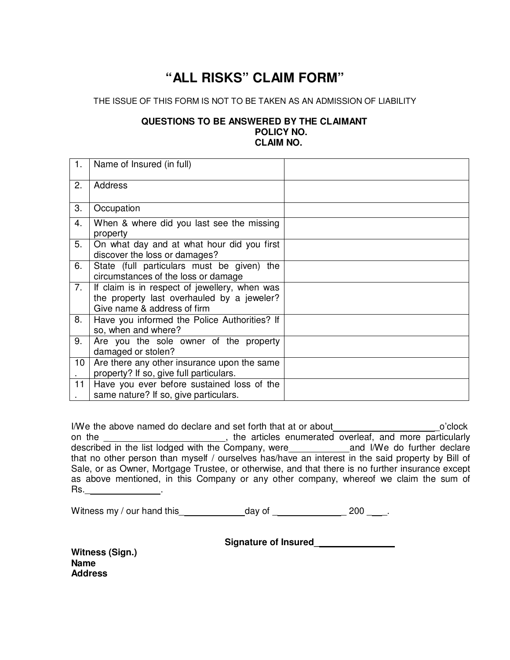## **"ALL RISKS" CLAIM FORM"**

## THE ISSUE OF THIS FORM IS NOT TO BE TAKEN AS AN ADMISSION OF LIABILITY

## **QUESTIONS TO BE ANSWERED BY THE CLAIMANT POLICY NO. CLAIM NO.**

| 1. | Name of Insured (in full)                                                                                                  |  |
|----|----------------------------------------------------------------------------------------------------------------------------|--|
| 2. | <b>Address</b>                                                                                                             |  |
| 3. | Occupation                                                                                                                 |  |
| 4. | When & where did you last see the missing<br>property                                                                      |  |
| 5. | On what day and at what hour did you first<br>discover the loss or damages?                                                |  |
| 6. | State (full particulars must be given) the<br>circumstances of the loss or damage                                          |  |
| 7. | If claim is in respect of jewellery, when was<br>the property last overhauled by a jeweler?<br>Give name & address of firm |  |
| 8. | Have you informed the Police Authorities? If<br>so, when and where?                                                        |  |
| 9. | Are you the sole owner of the property<br>damaged or stolen?                                                               |  |
| 10 | Are there any other insurance upon the same<br>property? If so, give full particulars.                                     |  |
| 11 | Have you ever before sustained loss of the<br>same nature? If so, give particulars.                                        |  |

I/We the above named do declare and set forth that at or about\_\_\_\_\_\_\_\_\_\_\_\_\_\_\_\_\_\_\_\_\_\_\_\_\_\_\_o'clock on the \_\_\_\_\_\_\_\_\_\_\_\_\_\_\_\_\_\_\_\_\_\_\_, the articles enumerated overleaf, and more particularly described in the list lodged with the Company, were and I/We do further declare that no other person than myself / ourselves has/have an interest in the said property by Bill of Sale, or as Owner, Mortgage Trustee, or otherwise, and that there is no further insurance except as above mentioned, in this Company or any other company, whereof we claim the sum of Rs.\_ .

Witness my / our hand this  $\frac{1}{2}$  day of  $\frac{1}{2}$  200  $\frac{1}{2}$ .

**Signature of Insured\_** 

**Witness (Sign.) Name Address**